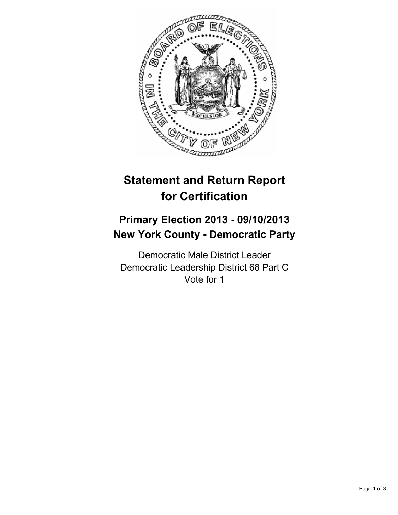

# **Statement and Return Report for Certification**

## **Primary Election 2013 - 09/10/2013 New York County - Democratic Party**

Democratic Male District Leader Democratic Leadership District 68 Part C Vote for 1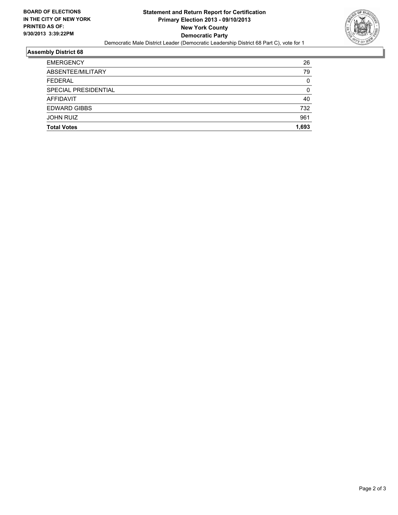

### **Assembly District 68**

| <b>Total Votes</b>   | 1,693 |
|----------------------|-------|
|                      |       |
| <b>JOHN RUIZ</b>     | 961   |
| <b>EDWARD GIBBS</b>  | 732   |
| <b>AFFIDAVIT</b>     | 40    |
| SPECIAL PRESIDENTIAL | 0     |
| <b>FEDERAL</b>       | 0     |
| ABSENTEE/MILITARY    | 79    |
| <b>EMERGENCY</b>     | 26    |